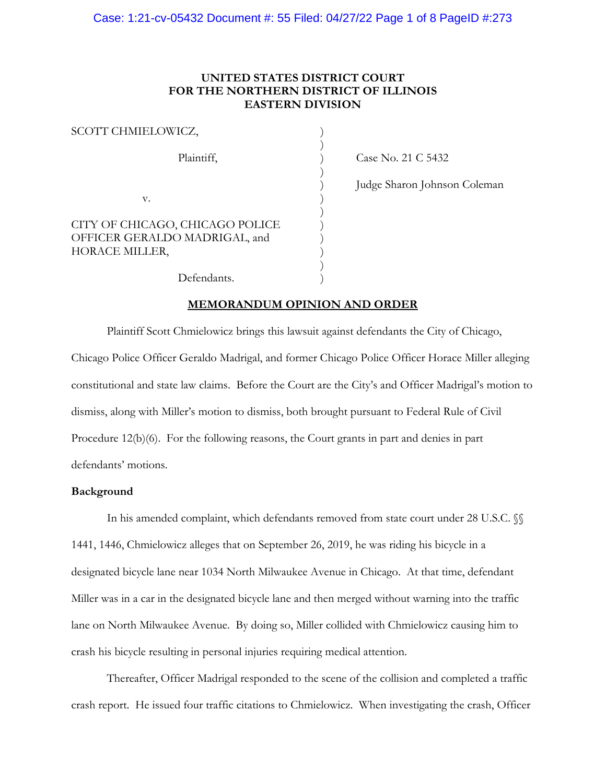## **UNITED STATES DISTRICT COURT FOR THE NORTHERN DISTRICT OF ILLINOIS EASTERN DIVISION**

| SCOTT CHMIELOWICZ,                                                                 |  |
|------------------------------------------------------------------------------------|--|
| Plaintiff,                                                                         |  |
|                                                                                    |  |
| v.                                                                                 |  |
| CITY OF CHICAGO, CHICAGO POLICE<br>OFFICER GERALDO MADRIGAL, and<br>HORACE MILLER, |  |
| Defendants.                                                                        |  |

Case No. 21 C 5432

) Judge Sharon Johnson Coleman

**MEMORANDUM OPINION AND ORDER**

Plaintiff Scott Chmielowicz brings this lawsuit against defendants the City of Chicago, Chicago Police Officer Geraldo Madrigal, and former Chicago Police Officer Horace Miller alleging constitutional and state law claims. Before the Court are the City's and Officer Madrigal's motion to dismiss, along with Miller's motion to dismiss, both brought pursuant to Federal Rule of Civil Procedure 12(b)(6). For the following reasons, the Court grants in part and denies in part defendants' motions.

#### **Background**

In his amended complaint, which defendants removed from state court under 28 U.S.C.  $\%$ 1441, 1446, Chmielowicz alleges that on September 26, 2019, he was riding his bicycle in a designated bicycle lane near 1034 North Milwaukee Avenue in Chicago. At that time, defendant Miller was in a car in the designated bicycle lane and then merged without warning into the traffic lane on North Milwaukee Avenue. By doing so, Miller collided with Chmielowicz causing him to crash his bicycle resulting in personal injuries requiring medical attention.

Thereafter, Officer Madrigal responded to the scene of the collision and completed a traffic crash report. He issued four traffic citations to Chmielowicz. When investigating the crash, Officer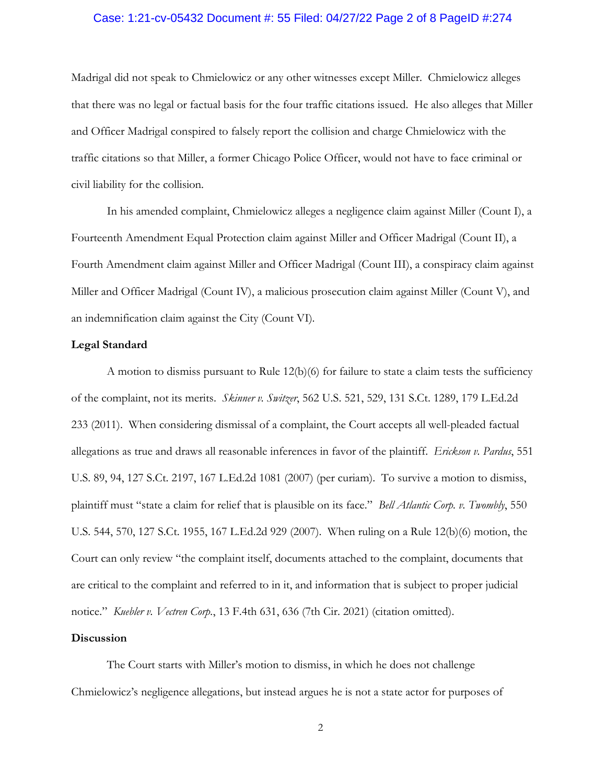#### Case: 1:21-cv-05432 Document #: 55 Filed: 04/27/22 Page 2 of 8 PageID #:274

Madrigal did not speak to Chmielowicz or any other witnesses except Miller. Chmielowicz alleges that there was no legal or factual basis for the four traffic citations issued. He also alleges that Miller and Officer Madrigal conspired to falsely report the collision and charge Chmielowicz with the traffic citations so that Miller, a former Chicago Police Officer, would not have to face criminal or civil liability for the collision.

In his amended complaint, Chmielowicz alleges a negligence claim against Miller (Count I), a Fourteenth Amendment Equal Protection claim against Miller and Officer Madrigal (Count II), a Fourth Amendment claim against Miller and Officer Madrigal (Count III), a conspiracy claim against Miller and Officer Madrigal (Count IV), a malicious prosecution claim against Miller (Count V), and an indemnification claim against the City (Count VI).

#### **Legal Standard**

A motion to dismiss pursuant to Rule 12(b)(6) for failure to state a claim tests the sufficiency of the complaint, not its merits. *Skinner v. Switzer*, 562 U.S. 521, 529, 131 S.Ct. 1289, 179 L.Ed.2d 233 (2011). When considering dismissal of a complaint, the Court accepts all well-pleaded factual allegations as true and draws all reasonable inferences in favor of the plaintiff. *Erickson v. Pardus*, 551 U.S. 89, 94, 127 S.Ct. 2197, 167 L.Ed.2d 1081 (2007) (per curiam). To survive a motion to dismiss, plaintiff must "state a claim for relief that is plausible on its face." *Bell Atlantic Corp. v. Twombly*, 550 U.S. 544, 570, 127 S.Ct. 1955, 167 L.Ed.2d 929 (2007). When ruling on a Rule 12(b)(6) motion, the Court can only review "the complaint itself, documents attached to the complaint, documents that are critical to the complaint and referred to in it, and information that is subject to proper judicial notice." *Kuebler v. Vectren Corp.*, 13 F.4th 631, 636 (7th Cir. 2021) (citation omitted).

#### **Discussion**

The Court starts with Miller's motion to dismiss, in which he does not challenge Chmielowicz's negligence allegations, but instead argues he is not a state actor for purposes of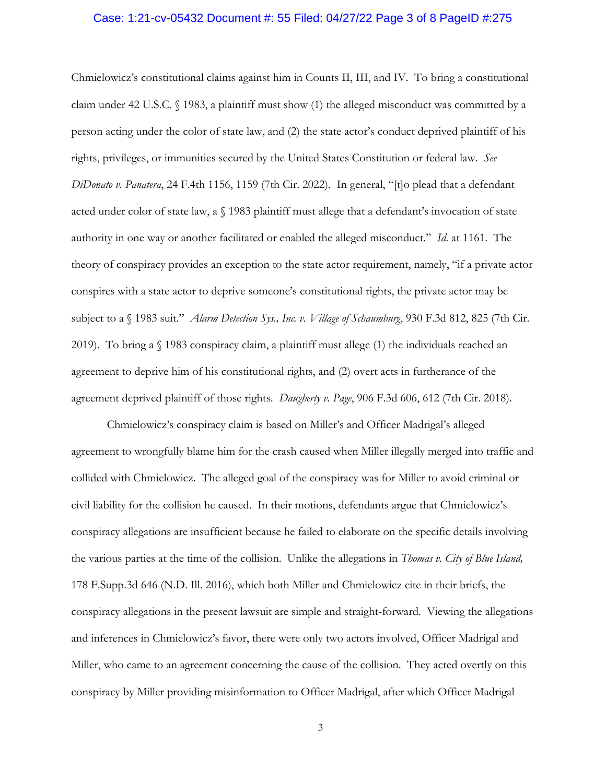#### Case: 1:21-cv-05432 Document #: 55 Filed: 04/27/22 Page 3 of 8 PageID #:275

Chmielowicz's constitutional claims against him in Counts II, III, and IV. To bring a constitutional claim under 42 U.S.C. § 1983, a plaintiff must show (1) the alleged misconduct was committed by a person acting under the color of state law, and (2) the state actor's conduct deprived plaintiff of his rights, privileges, or immunities secured by the United States Constitution or federal law. *See DiDonato v. Panatera*, 24 F.4th 1156, 1159 (7th Cir. 2022). In general, "[t]o plead that a defendant acted under color of state law, a § 1983 plaintiff must allege that a defendant's invocation of state authority in one way or another facilitated or enabled the alleged misconduct." *Id*. at 1161. The theory of conspiracy provides an exception to the state actor requirement, namely, "if a private actor conspires with a state actor to deprive someone's constitutional rights, the private actor may be subject to a § 1983 suit." *Alarm Detection Sys., Inc. v. Village of Schaumburg*, 930 F.3d 812, 825 (7th Cir. 2019). To bring a  $\sqrt{3}$  1983 conspiracy claim, a plaintiff must allege (1) the individuals reached an agreement to deprive him of his constitutional rights, and (2) overt acts in furtherance of the agreement deprived plaintiff of those rights. *Daugherty v. Page*, 906 F.3d 606, 612 (7th Cir. 2018).

Chmielowicz's conspiracy claim is based on Miller's and Officer Madrigal's alleged agreement to wrongfully blame him for the crash caused when Miller illegally merged into traffic and collided with Chmielowicz. The alleged goal of the conspiracy was for Miller to avoid criminal or civil liability for the collision he caused. In their motions, defendants argue that Chmielowicz's conspiracy allegations are insufficient because he failed to elaborate on the specific details involving the various parties at the time of the collision. Unlike the allegations in *Thomas v. City of Blue Island,* 178 F.Supp.3d 646 (N.D. Ill. 2016), which both Miller and Chmielowicz cite in their briefs, the conspiracy allegations in the present lawsuit are simple and straight-forward. Viewing the allegations and inferences in Chmielowicz's favor, there were only two actors involved, Officer Madrigal and Miller, who came to an agreement concerning the cause of the collision. They acted overtly on this conspiracy by Miller providing misinformation to Officer Madrigal, after which Officer Madrigal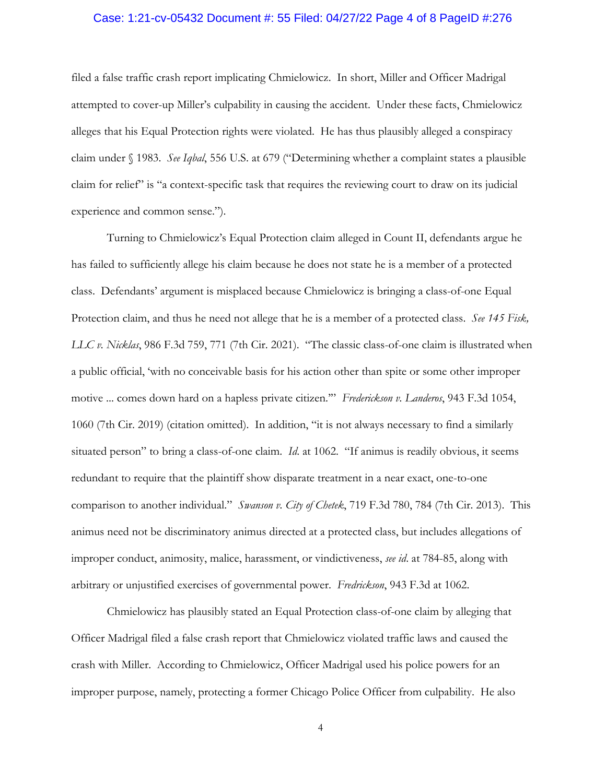#### Case: 1:21-cv-05432 Document #: 55 Filed: 04/27/22 Page 4 of 8 PageID #:276

filed a false traffic crash report implicating Chmielowicz. In short, Miller and Officer Madrigal attempted to cover-up Miller's culpability in causing the accident. Under these facts, Chmielowicz alleges that his Equal Protection rights were violated. He has thus plausibly alleged a conspiracy claim under § 1983. *See Iqbal*, 556 U.S. at 679 ("Determining whether a complaint states a plausible claim for relief" is "a context-specific task that requires the reviewing court to draw on its judicial experience and common sense.").

Turning to Chmielowicz's Equal Protection claim alleged in Count II, defendants argue he has failed to sufficiently allege his claim because he does not state he is a member of a protected class. Defendants' argument is misplaced because Chmielowicz is bringing a class-of-one Equal Protection claim, and thus he need not allege that he is a member of a protected class. *See 145 Fisk, LLC v. Nicklas*, 986 F.3d 759, 771 (7th Cir. 2021). "The classic class-of-one claim is illustrated when a public official, 'with no conceivable basis for his action other than spite or some other improper motive ... comes down hard on a hapless private citizen.'" *Frederickson v. Landeros*, 943 F.3d 1054, 1060 (7th Cir. 2019) (citation omitted). In addition, "it is not always necessary to find a similarly situated person" to bring a class-of-one claim. *Id*. at 1062. "If animus is readily obvious, it seems redundant to require that the plaintiff show disparate treatment in a near exact, one-to-one comparison to another individual." *Swanson v. City of Chetek*, 719 F.3d 780, 784 (7th Cir. 2013). This animus need not be discriminatory animus directed at a protected class, but includes allegations of improper conduct, animosity, malice, harassment, or vindictiveness, *see id*. at 784-85, along with arbitrary or unjustified exercises of governmental power. *Fredrickson*, 943 F.3d at 1062.

Chmielowicz has plausibly stated an Equal Protection class-of-one claim by alleging that Officer Madrigal filed a false crash report that Chmielowicz violated traffic laws and caused the crash with Miller. According to Chmielowicz, Officer Madrigal used his police powers for an improper purpose, namely, protecting a former Chicago Police Officer from culpability. He also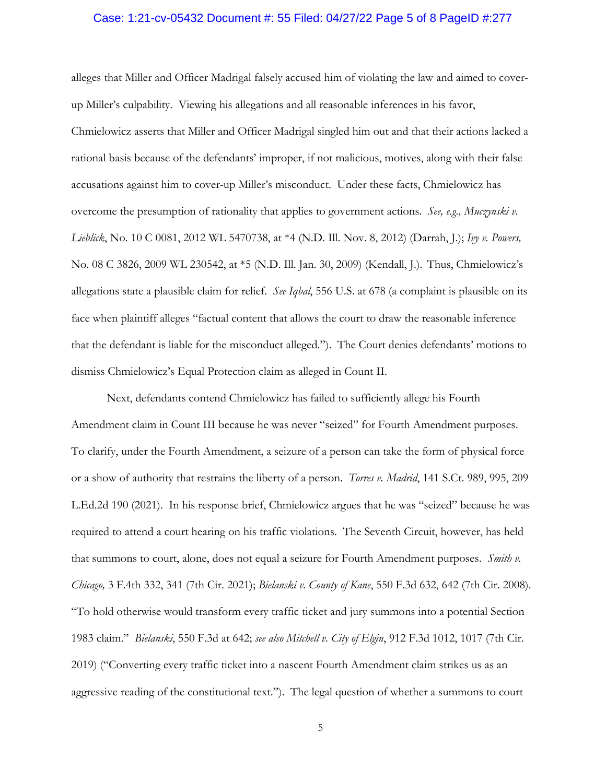#### Case: 1:21-cv-05432 Document #: 55 Filed: 04/27/22 Page 5 of 8 PageID #:277

alleges that Miller and Officer Madrigal falsely accused him of violating the law and aimed to coverup Miller's culpability. Viewing his allegations and all reasonable inferences in his favor, Chmielowicz asserts that Miller and Officer Madrigal singled him out and that their actions lacked a rational basis because of the defendants' improper, if not malicious, motives, along with their false accusations against him to cover-up Miller's misconduct. Under these facts, Chmielowicz has overcome the presumption of rationality that applies to government actions. *See, e.g., Muczynski v. Lieblick*, No. 10 C 0081, 2012 WL 5470738, at \*4 (N.D. Ill. Nov. 8, 2012) (Darrah, J.); *Ivy v. Powers,*  No. 08 C 3826, 2009 WL 230542, at \*5 (N.D. Ill. Jan. 30, 2009) (Kendall, J.). Thus, Chmielowicz's allegations state a plausible claim for relief. *See Iqbal*, 556 U.S. at 678 (a complaint is plausible on its face when plaintiff alleges "factual content that allows the court to draw the reasonable inference that the defendant is liable for the misconduct alleged."). The Court denies defendants' motions to dismiss Chmielowicz's Equal Protection claim as alleged in Count II.

Next, defendants contend Chmielowicz has failed to sufficiently allege his Fourth Amendment claim in Count III because he was never "seized" for Fourth Amendment purposes. To clarify, under the Fourth Amendment, a seizure of a person can take the form of physical force or a show of authority that restrains the liberty of a person. *Torres v. Madrid*, 141 S.Ct. 989, 995, 209 L.Ed.2d 190 (2021). In his response brief, Chmielowicz argues that he was "seized" because he was required to attend a court hearing on his traffic violations. The Seventh Circuit, however, has held that summons to court, alone, does not equal a seizure for Fourth Amendment purposes. *Smith v. Chicago,* 3 F.4th 332, 341 (7th Cir. 2021); *Bielanski v. County of Kane*, 550 F.3d 632, 642 (7th Cir. 2008). "To hold otherwise would transform every traffic ticket and jury summons into a potential Section 1983 claim." *Bielanski*, 550 F.3d at 642; *see also Mitchell v. City of Elgin*, 912 F.3d 1012, 1017 (7th Cir. 2019) ("Converting every traffic ticket into a nascent Fourth Amendment claim strikes us as an aggressive reading of the constitutional text."). The legal question of whether a summons to court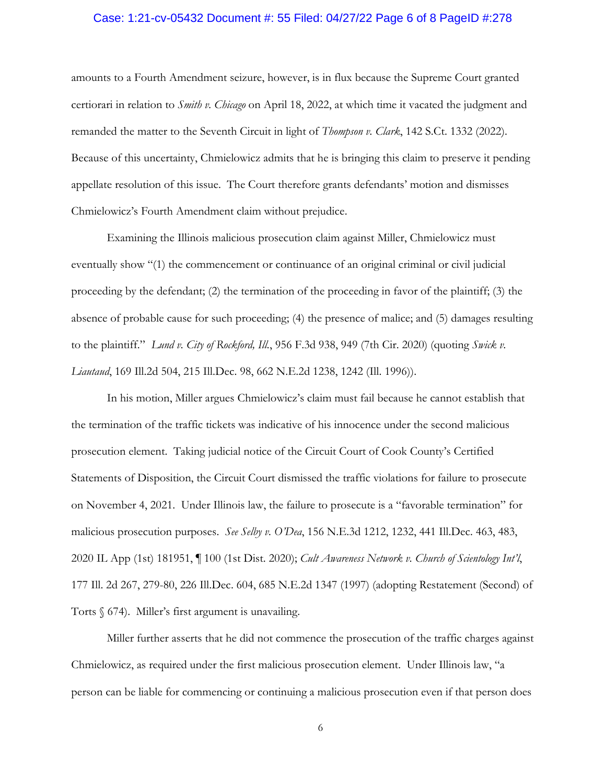#### Case: 1:21-cv-05432 Document #: 55 Filed: 04/27/22 Page 6 of 8 PageID #:278

amounts to a Fourth Amendment seizure, however, is in flux because the Supreme Court granted certiorari in relation to *Smith v. Chicago* on April 18, 2022, at which time it vacated the judgment and remanded the matter to the Seventh Circuit in light of *Thompson v. Clark*, 142 S.Ct. 1332 (2022). Because of this uncertainty, Chmielowicz admits that he is bringing this claim to preserve it pending appellate resolution of this issue. The Court therefore grants defendants' motion and dismisses Chmielowicz's Fourth Amendment claim without prejudice.

Examining the Illinois malicious prosecution claim against Miller, Chmielowicz must eventually show "(1) the commencement or continuance of an original criminal or civil judicial proceeding by the defendant; (2) the termination of the proceeding in favor of the plaintiff; (3) the absence of probable cause for such proceeding; (4) the presence of malice; and (5) damages resulting to the plaintiff." *Lund v. City of Rockford, Ill.*, 956 F.3d 938, 949 (7th Cir. 2020) (quoting *Swick v. Liautaud*, 169 Ill.2d 504, 215 Ill.Dec. 98, 662 N.E.2d 1238, 1242 (Ill. 1996)).

In his motion, Miller argues Chmielowicz's claim must fail because he cannot establish that the termination of the traffic tickets was indicative of his innocence under the second malicious prosecution element. Taking judicial notice of the Circuit Court of Cook County's Certified Statements of Disposition, the Circuit Court dismissed the traffic violations for failure to prosecute on November 4, 2021. Under Illinois law, the failure to prosecute is a "favorable termination" for malicious prosecution purposes. *See Selby v. O'Dea*, 156 N.E.3d 1212, 1232, 441 Ill.Dec. 463, 483, 2020 IL App (1st) 181951, ¶ 100 (1st Dist. 2020); *Cult Awareness Network v. Church of Scientology Int'l*, 177 Ill. 2d 267, 279-80, 226 Ill.Dec. 604, 685 N.E.2d 1347 (1997) (adopting Restatement (Second) of Torts § 674). Miller's first argument is unavailing.

Miller further asserts that he did not commence the prosecution of the traffic charges against Chmielowicz, as required under the first malicious prosecution element. Under Illinois law, "a person can be liable for commencing or continuing a malicious prosecution even if that person does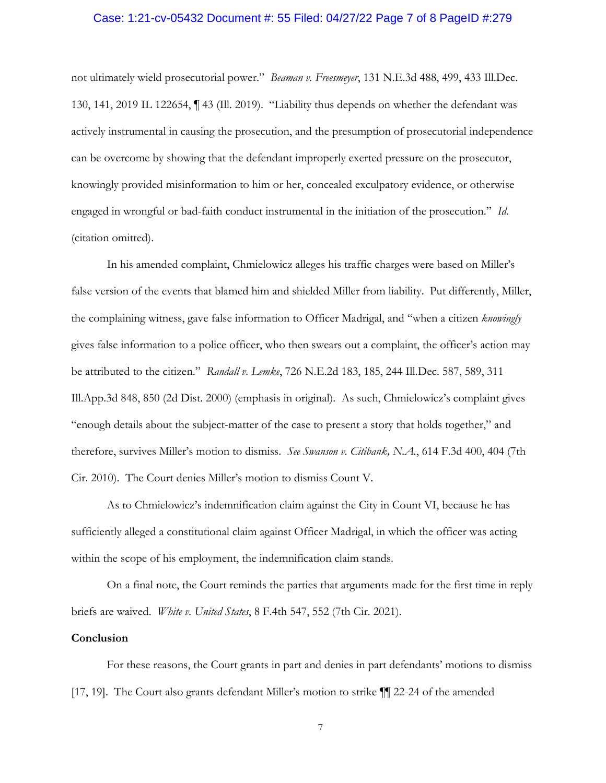#### Case: 1:21-cv-05432 Document #: 55 Filed: 04/27/22 Page 7 of 8 PageID #:279

not ultimately wield prosecutorial power." *Beaman v. Freesmeyer*, 131 N.E.3d 488, 499, 433 Ill.Dec. 130, 141, 2019 IL 122654, ¶ 43 (Ill. 2019). "Liability thus depends on whether the defendant was actively instrumental in causing the prosecution, and the presumption of prosecutorial independence can be overcome by showing that the defendant improperly exerted pressure on the prosecutor, knowingly provided misinformation to him or her, concealed exculpatory evidence, or otherwise engaged in wrongful or bad-faith conduct instrumental in the initiation of the prosecution." *Id*. (citation omitted).

In his amended complaint, Chmielowicz alleges his traffic charges were based on Miller's false version of the events that blamed him and shielded Miller from liability. Put differently, Miller, the complaining witness, gave false information to Officer Madrigal, and "when a citizen *knowingly* gives false information to a police officer, who then swears out a complaint, the officer's action may be attributed to the citizen." *Randall v. Lemke*, 726 N.E.2d 183, 185, 244 Ill.Dec. 587, 589, 311 Ill.App.3d 848, 850 (2d Dist. 2000) (emphasis in original). As such, Chmielowicz's complaint gives "enough details about the subject-matter of the case to present a story that holds together," and therefore, survives Miller's motion to dismiss. *See Swanson v. Citibank, N.A.*, 614 F.3d 400, 404 (7th Cir. 2010). The Court denies Miller's motion to dismiss Count V.

As to Chmielowicz's indemnification claim against the City in Count VI, because he has sufficiently alleged a constitutional claim against Officer Madrigal, in which the officer was acting within the scope of his employment, the indemnification claim stands.

On a final note, the Court reminds the parties that arguments made for the first time in reply briefs are waived. *White v. United States*, 8 F.4th 547, 552 (7th Cir. 2021).

### **Conclusion**

For these reasons, the Court grants in part and denies in part defendants' motions to dismiss [17, 19]. The Court also grants defendant Miller's motion to strike  $\P$  22-24 of the amended

7